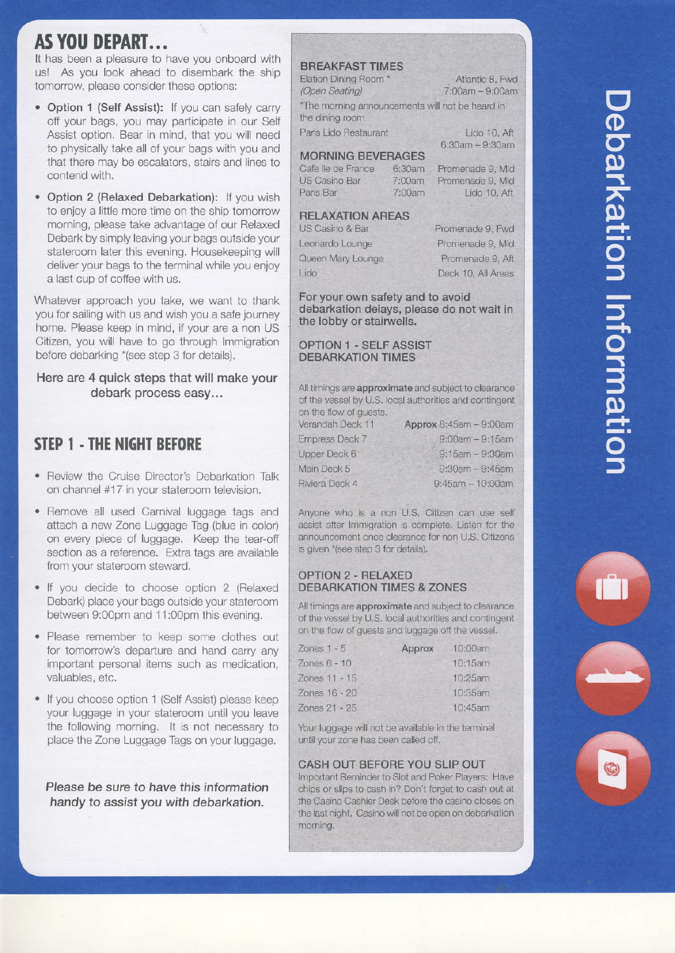# **AS YOU DEPART...**

It has been a pleasure to have you onboard with us! As you look ahead to disembark the ship tomorrow, please consider these options:

- Option 1 (Self Assist): If you can safely carry off your bags, you may participate in our Self Assist option. Bear in mind, that you will need to physically take all of your bags with you and that there may be escalators, stairs and lines to contend with.
- Option 2 (Relaxed Debarkation): If you wish to enjoy a little more time on the ship tomorrow morning, please take advantage of our Relaxed Debark by simply leaving your bags outside your stateroom later this evening. Housekeeping will deliver your bags to the terminal while you enjoy a last cup of coffee with us.

Whatever approach you take, we want to thank you for sailing with us and wish you a safe journey home. Please keep in mind, if your are a non US Citizen, you will have to go through Immigration before debarking \*(see step 3 for details).

### Here are 4 quick steps that will make your debark process easy...

## **STEP 1 - THE NIGHT BEFORE**

- Review the Cruise Director's Debarkation Talk on channel #17 in your stateroom television.
- Remove all used Carnival luggage tags and attach a new Zone Luggage Tag (blue in color) on every piece of luggage. Keep the tear-off section as a reference. Extra tags are available from your stateroom steward.
- . If you decide to choose option 2 (Relaxed Debark) place your bags outside your stateroom between 9:00pm and 11:00pm this evening.
- Please remember to keep some clothes out for tomorrow's departure and hand carry any important personal items such as medication, valuables, etc.
- If you choose option 1 (Self Assist) please keep your luggage in your stateroom until you leave the following morning. It is not necessary to place the Zone Luggage Tags on your luggage.

Please be sure to have this information handy to assist you with debarkation.

### **BREAKFAST TIMES**

Elation Dining Room \* Atlantic 8, Fwd (Open Seating)  $7:00am - 9:00am$ \*The morning announcements will not be heard in the dining room Paris Lido Restaurant Lido 10, Aft  $6:30am - 9:30am$ 

### **MORNING BEVERAGES**

Cafe lle de France 6:30am US Casino Bar 7:00am Paris Bar 7:00am

### **RELAXATION AREAS**

US Casino & Bar Leonardo Lounge Queen Mary Lounge I ido

Promenade 9, Fwd Promenade 9, Mid Promenade 9, Aft Deck 10, All Areas

Promenade 9, Mid

Promenade 9, Mid

Lido 10, Aft

For your own safety and to avoid debarkation delays, please do not wait in the lobby or stairwells.

#### **OPTION 1 - SELF ASSIST DEBARKATION TIMES**

All timings are approximate and subject to clearance of the vessel by U.S. local authorities and contingent on the flow of guests.

| Verandah Deck 11 | Approx 8:45am - 9:00am |  |
|------------------|------------------------|--|
| Empress Deck 7   | $9:00$ am $-9:15$ am   |  |
| Upper Deck 6     | $9:15am - 9:30am$      |  |
| Main Deck 5      | $9:30am - 9:45am$      |  |
| Riviera Deck 4   | $9:45am - 10:00am$     |  |

Anyone who is a non U.S. Citizen can use self assist after Immigration is complete. Listen for the announcement once clearance for non U.S. Citizens is given \*(see step 3 for details).

#### **OPTION 2 - RELAXED DEBARKATION TIMES & ZONES**

All timings are approximate and subject to clearance of the vessel by U.S. local authorities and contingent on the flow of guests and luggage off the vessel.

| Zones $1 - 5$  | Approx | 10:00am |
|----------------|--------|---------|
| Zones $6 - 10$ |        | 10:15am |
| Zones 11 - 15  |        | 10:25am |
| Zones 16 - 20  |        | 10:35am |
| Zones 21 - 25  |        | 10:45am |

Your luggage will not be available in the terminal until your zone has been called off.

#### CASH OUT BEFORE YOU SLIP OUT

Important Reminder to Slot and Poker Players: Have chips or slips to cash in? Don't forget to cash out at the Casino Cashier Desk before the casino closes on the last night. Casino will not be open on debarkation morning.